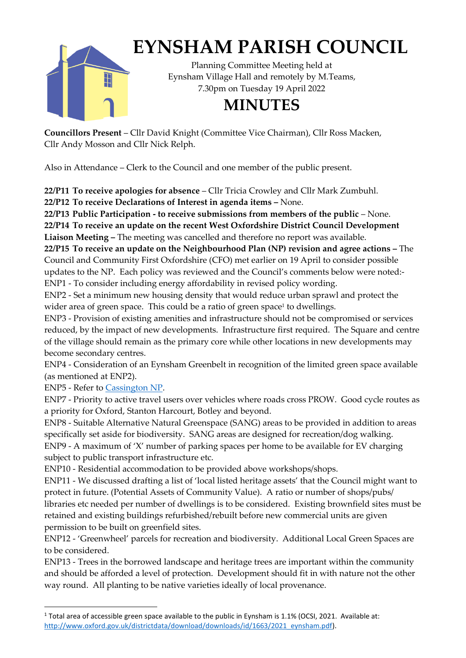

## **EYNSHAM PARISH COUNCIL**

Planning Committee Meeting held at Eynsham Village Hall and remotely by M.Teams, 7.30pm on Tuesday 19 April 2022

## **MINUTES**

**Councillors Present** – Cllr David Knight (Committee Vice Chairman), Cllr Ross Macken, Cllr Andy Mosson and Cllr Nick Relph.

Also in Attendance – Clerk to the Council and one member of the public present.

**22/P11 To receive apologies for absence** – Cllr Tricia Crowley and Cllr Mark Zumbuhl.

**22/P12 To receive Declarations of Interest in agenda items –** None.

**22/P13 Public Participation - to receive submissions from members of the public** – None. **22/P14 To receive an update on the recent West Oxfordshire District Council Development Liaison Meeting –** The meeting was cancelled and therefore no report was available.

**22/P15 To receive an update on the Neighbourhood Plan (NP) revision and agree actions –** The Council and Community First Oxfordshire (CFO) met earlier on 19 April to consider possible updates to the NP. Each policy was reviewed and the Council's comments below were noted:- ENP1 - To consider including energy affordability in revised policy wording.

ENP2 - Set a minimum new housing density that would reduce urban sprawl and protect the wider area of green space. This could be a ratio of green space<sup>1</sup> to dwellings.

ENP3 - Provision of existing amenities and infrastructure should not be compromised or services reduced, by the impact of new developments. Infrastructure first required. The Square and centre of the village should remain as the primary core while other locations in new developments may become secondary centres.

ENP4 - Consideration of an Eynsham Greenbelt in recognition of the limited green space available (as mentioned at ENP2).

ENP5 - Refer to Cassington NP.

ENP7 - Priority to active travel users over vehicles where roads cross PROW. Good cycle routes as a priority for Oxford, Stanton Harcourt, Botley and beyond.

ENP8 - Suitable Alternative Natural Greenspace (SANG) areas to be provided in addition to areas specifically set aside for biodiversity. SANG areas are designed for recreation/dog walking.

ENP9 - A maximum of 'X' number of parking spaces per home to be available for EV charging subject to public transport infrastructure etc.

ENP10 - Residential accommodation to be provided above workshops/shops.

ENP11 - We discussed drafting a list of 'local listed heritage assets' that the Council might want to protect in future. (Potential Assets of Community Value). A ratio or number of shops/pubs/ libraries etc needed per number of dwellings is to be considered. Existing brownfield sites must be retained and existing buildings refurbished/rebuilt before new commercial units are given permission to be built on greenfield sites.

ENP12 - 'Greenwheel' parcels for recreation and biodiversity. Additional Local Green Spaces are to be considered.

ENP13 - Trees in the borrowed landscape and heritage trees are important within the community and should be afforded a level of protection. Development should fit in with nature not the other way round. All planting to be native varieties ideally of local provenance.

<sup>1</sup> Total area of accessible green space available to the public in Eynsham is 1.1% (OCSI, 2021. Available at: http://www.oxford.gov.uk/districtdata/download/downloads/id/1663/2021\_eynsham.pdf).